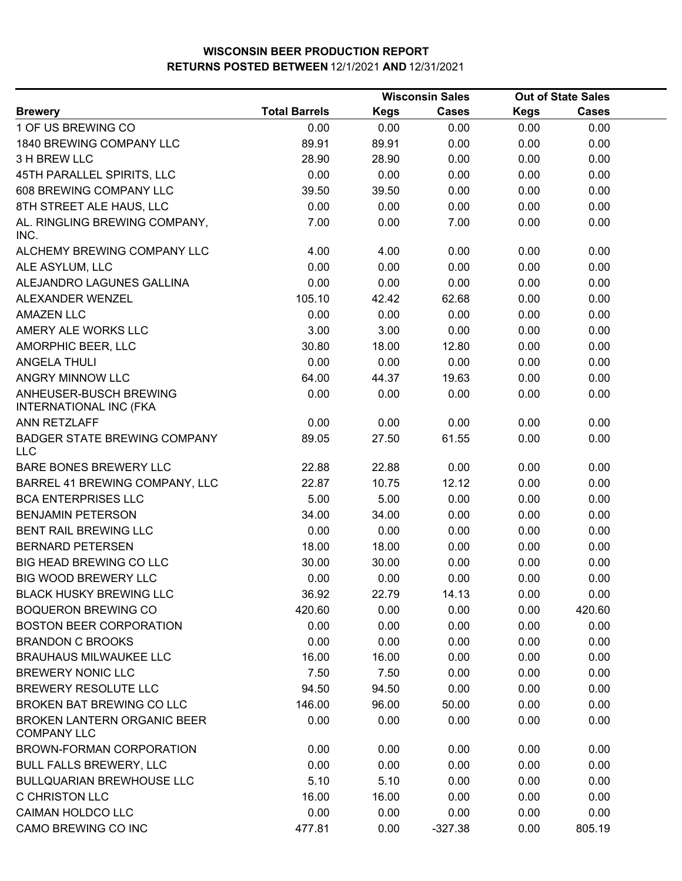|                                                          |                      |             | <b>Wisconsin Sales</b> |             | <b>Out of State Sales</b> |  |
|----------------------------------------------------------|----------------------|-------------|------------------------|-------------|---------------------------|--|
| <b>Brewery</b>                                           | <b>Total Barrels</b> | <b>Kegs</b> | <b>Cases</b>           | <b>Kegs</b> | <b>Cases</b>              |  |
| 1 OF US BREWING CO                                       | 0.00                 | 0.00        | 0.00                   | 0.00        | 0.00                      |  |
| 1840 BREWING COMPANY LLC                                 | 89.91                | 89.91       | 0.00                   | 0.00        | 0.00                      |  |
| 3 H BREW LLC                                             | 28.90                | 28.90       | 0.00                   | 0.00        | 0.00                      |  |
| 45TH PARALLEL SPIRITS, LLC                               | 0.00                 | 0.00        | 0.00                   | 0.00        | 0.00                      |  |
| 608 BREWING COMPANY LLC                                  | 39.50                | 39.50       | 0.00                   | 0.00        | 0.00                      |  |
| 8TH STREET ALE HAUS, LLC                                 | 0.00                 | 0.00        | 0.00                   | 0.00        | 0.00                      |  |
| AL. RINGLING BREWING COMPANY,<br>INC.                    | 7.00                 | 0.00        | 7.00                   | 0.00        | 0.00                      |  |
| ALCHEMY BREWING COMPANY LLC                              | 4.00                 | 4.00        | 0.00                   | 0.00        | 0.00                      |  |
| ALE ASYLUM, LLC                                          | 0.00                 | 0.00        | 0.00                   | 0.00        | 0.00                      |  |
| ALEJANDRO LAGUNES GALLINA                                | 0.00                 | 0.00        | 0.00                   | 0.00        | 0.00                      |  |
| ALEXANDER WENZEL                                         | 105.10               | 42.42       | 62.68                  | 0.00        | 0.00                      |  |
| <b>AMAZEN LLC</b>                                        | 0.00                 | 0.00        | 0.00                   | 0.00        | 0.00                      |  |
| AMERY ALE WORKS LLC                                      | 3.00                 | 3.00        | 0.00                   | 0.00        | 0.00                      |  |
| AMORPHIC BEER, LLC                                       | 30.80                | 18.00       | 12.80                  | 0.00        | 0.00                      |  |
| <b>ANGELA THULI</b>                                      | 0.00                 | 0.00        | 0.00                   | 0.00        | 0.00                      |  |
| ANGRY MINNOW LLC                                         | 64.00                | 44.37       | 19.63                  | 0.00        | 0.00                      |  |
| ANHEUSER-BUSCH BREWING<br><b>INTERNATIONAL INC (FKA</b>  | 0.00                 | 0.00        | 0.00                   | 0.00        | 0.00                      |  |
| ANN RETZLAFF                                             | 0.00                 | 0.00        | 0.00                   | 0.00        | 0.00                      |  |
| <b>BADGER STATE BREWING COMPANY</b><br><b>LLC</b>        | 89.05                | 27.50       | 61.55                  | 0.00        | 0.00                      |  |
| <b>BARE BONES BREWERY LLC</b>                            | 22.88                | 22.88       | 0.00                   | 0.00        | 0.00                      |  |
| BARREL 41 BREWING COMPANY, LLC                           | 22.87                | 10.75       | 12.12                  | 0.00        | 0.00                      |  |
| <b>BCA ENTERPRISES LLC</b>                               | 5.00                 | 5.00        | 0.00                   | 0.00        | 0.00                      |  |
| <b>BENJAMIN PETERSON</b>                                 | 34.00                | 34.00       | 0.00                   | 0.00        | 0.00                      |  |
| <b>BENT RAIL BREWING LLC</b>                             | 0.00                 | 0.00        | 0.00                   | 0.00        | 0.00                      |  |
| <b>BERNARD PETERSEN</b>                                  | 18.00                | 18.00       | 0.00                   | 0.00        | 0.00                      |  |
| <b>BIG HEAD BREWING CO LLC</b>                           | 30.00                | 30.00       | 0.00                   | 0.00        | 0.00                      |  |
| <b>BIG WOOD BREWERY LLC</b>                              | 0.00                 | 0.00        | 0.00                   | 0.00        | 0.00                      |  |
| <b>BLACK HUSKY BREWING LLC</b>                           | 36.92                | 22.79       | 14.13                  | 0.00        | 0.00                      |  |
| <b>BOQUERON BREWING CO</b>                               | 420.60               | 0.00        | 0.00                   | 0.00        | 420.60                    |  |
| <b>BOSTON BEER CORPORATION</b>                           | 0.00                 | 0.00        | 0.00                   | 0.00        | 0.00                      |  |
| <b>BRANDON C BROOKS</b>                                  | 0.00                 | 0.00        | 0.00                   | 0.00        | 0.00                      |  |
| <b>BRAUHAUS MILWAUKEE LLC</b>                            | 16.00                | 16.00       | 0.00                   | 0.00        | 0.00                      |  |
| <b>BREWERY NONIC LLC</b>                                 | 7.50                 | 7.50        | 0.00                   | 0.00        | 0.00                      |  |
| BREWERY RESOLUTE LLC                                     | 94.50                | 94.50       | 0.00                   | 0.00        | 0.00                      |  |
| BROKEN BAT BREWING CO LLC                                | 146.00               | 96.00       | 50.00                  | 0.00        | 0.00                      |  |
| <b>BROKEN LANTERN ORGANIC BEER</b><br><b>COMPANY LLC</b> | 0.00                 | 0.00        | 0.00                   | 0.00        | 0.00                      |  |
| BROWN-FORMAN CORPORATION                                 | 0.00                 | 0.00        | 0.00                   | 0.00        | 0.00                      |  |
| <b>BULL FALLS BREWERY, LLC</b>                           | 0.00                 | 0.00        | 0.00                   | 0.00        | 0.00                      |  |
| <b>BULLQUARIAN BREWHOUSE LLC</b>                         | 5.10                 | 5.10        | 0.00                   | 0.00        | 0.00                      |  |
| <b>C CHRISTON LLC</b>                                    | 16.00                | 16.00       | 0.00                   | 0.00        | 0.00                      |  |
| <b>CAIMAN HOLDCO LLC</b>                                 | 0.00                 | 0.00        | 0.00                   | 0.00        | 0.00                      |  |
| CAMO BREWING CO INC                                      | 477.81               | 0.00        | $-327.38$              | 0.00        | 805.19                    |  |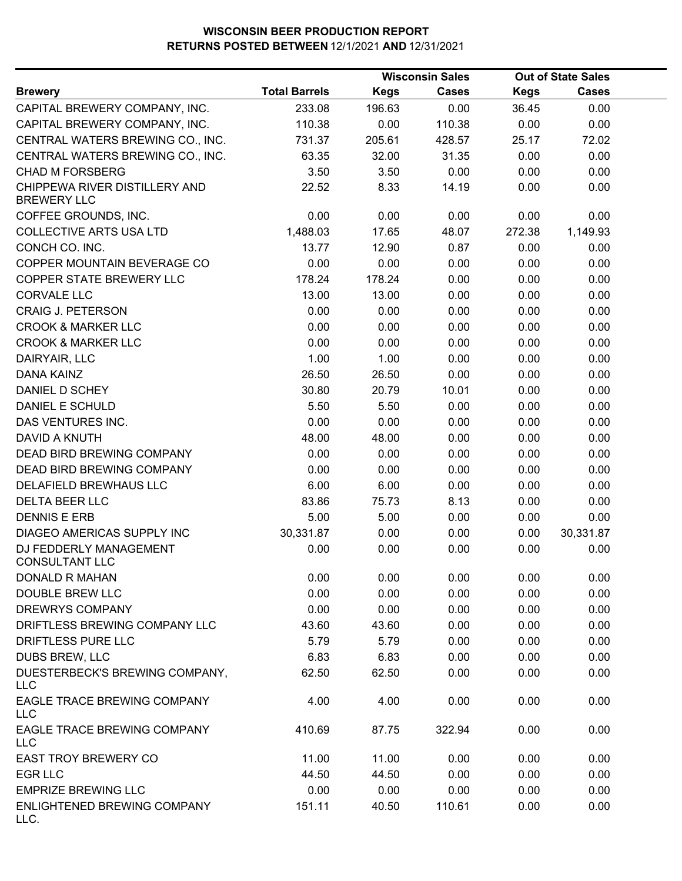|                                                     |                      |             | <b>Wisconsin Sales</b> |             | <b>Out of State Sales</b> |  |
|-----------------------------------------------------|----------------------|-------------|------------------------|-------------|---------------------------|--|
| <b>Brewery</b>                                      | <b>Total Barrels</b> | <b>Kegs</b> | <b>Cases</b>           | <b>Kegs</b> | <b>Cases</b>              |  |
| CAPITAL BREWERY COMPANY, INC.                       | 233.08               | 196.63      | 0.00                   | 36.45       | 0.00                      |  |
| CAPITAL BREWERY COMPANY, INC.                       | 110.38               | 0.00        | 110.38                 | 0.00        | 0.00                      |  |
| CENTRAL WATERS BREWING CO., INC.                    | 731.37               | 205.61      | 428.57                 | 25.17       | 72.02                     |  |
| CENTRAL WATERS BREWING CO., INC.                    | 63.35                | 32.00       | 31.35                  | 0.00        | 0.00                      |  |
| <b>CHAD M FORSBERG</b>                              | 3.50                 | 3.50        | 0.00                   | 0.00        | 0.00                      |  |
| CHIPPEWA RIVER DISTILLERY AND<br><b>BREWERY LLC</b> | 22.52                | 8.33        | 14.19                  | 0.00        | 0.00                      |  |
| COFFEE GROUNDS, INC.                                | 0.00                 | 0.00        | 0.00                   | 0.00        | 0.00                      |  |
| <b>COLLECTIVE ARTS USA LTD</b>                      | 1,488.03             | 17.65       | 48.07                  | 272.38      | 1,149.93                  |  |
| CONCH CO. INC.                                      | 13.77                | 12.90       | 0.87                   | 0.00        | 0.00                      |  |
| COPPER MOUNTAIN BEVERAGE CO                         | 0.00                 | 0.00        | 0.00                   | 0.00        | 0.00                      |  |
| COPPER STATE BREWERY LLC                            | 178.24               | 178.24      | 0.00                   | 0.00        | 0.00                      |  |
| <b>CORVALE LLC</b>                                  | 13.00                | 13.00       | 0.00                   | 0.00        | 0.00                      |  |
| <b>CRAIG J. PETERSON</b>                            | 0.00                 | 0.00        | 0.00                   | 0.00        | 0.00                      |  |
| <b>CROOK &amp; MARKER LLC</b>                       | 0.00                 | 0.00        | 0.00                   | 0.00        | 0.00                      |  |
| <b>CROOK &amp; MARKER LLC</b>                       | 0.00                 | 0.00        | 0.00                   | 0.00        | 0.00                      |  |
| DAIRYAIR, LLC                                       | 1.00                 | 1.00        | 0.00                   | 0.00        | 0.00                      |  |
| DANA KAINZ                                          | 26.50                | 26.50       | 0.00                   | 0.00        | 0.00                      |  |
| DANIEL D SCHEY                                      | 30.80                | 20.79       | 10.01                  | 0.00        | 0.00                      |  |
| DANIEL E SCHULD                                     | 5.50                 | 5.50        | 0.00                   | 0.00        | 0.00                      |  |
| DAS VENTURES INC.                                   | 0.00                 | 0.00        | 0.00                   | 0.00        | 0.00                      |  |
| DAVID A KNUTH                                       | 48.00                | 48.00       | 0.00                   | 0.00        | 0.00                      |  |
| DEAD BIRD BREWING COMPANY                           | 0.00                 | 0.00        | 0.00                   | 0.00        | 0.00                      |  |
| DEAD BIRD BREWING COMPANY                           | 0.00                 | 0.00        | 0.00                   | 0.00        | 0.00                      |  |
| DELAFIELD BREWHAUS LLC                              | 6.00                 | 6.00        | 0.00                   | 0.00        | 0.00                      |  |
| <b>DELTA BEER LLC</b>                               | 83.86                | 75.73       | 8.13                   | 0.00        | 0.00                      |  |
| <b>DENNIS E ERB</b>                                 | 5.00                 | 5.00        | 0.00                   | 0.00        | 0.00                      |  |
| DIAGEO AMERICAS SUPPLY INC                          | 30,331.87            | 0.00        | 0.00                   | 0.00        | 30,331.87                 |  |
| DJ FEDDERLY MANAGEMENT<br><b>CONSULTANT LLC</b>     | 0.00                 | 0.00        | 0.00                   | 0.00        | 0.00                      |  |
| <b>DONALD R MAHAN</b>                               | 0.00                 | 0.00        | 0.00                   | 0.00        | 0.00                      |  |
| <b>DOUBLE BREW LLC</b>                              | 0.00                 | 0.00        | 0.00                   | 0.00        | 0.00                      |  |
| DREWRYS COMPANY                                     | 0.00                 | 0.00        | 0.00                   | 0.00        | 0.00                      |  |
| DRIFTLESS BREWING COMPANY LLC                       | 43.60                | 43.60       | 0.00                   | 0.00        | 0.00                      |  |
| DRIFTLESS PURE LLC                                  | 5.79                 | 5.79        | 0.00                   | 0.00        | 0.00                      |  |
| DUBS BREW, LLC                                      | 6.83                 | 6.83        | 0.00                   | 0.00        | 0.00                      |  |
| DUESTERBECK'S BREWING COMPANY,<br><b>LLC</b>        | 62.50                | 62.50       | 0.00                   | 0.00        | 0.00                      |  |
| EAGLE TRACE BREWING COMPANY<br><b>LLC</b>           | 4.00                 | 4.00        | 0.00                   | 0.00        | 0.00                      |  |
| EAGLE TRACE BREWING COMPANY<br><b>LLC</b>           | 410.69               | 87.75       | 322.94                 | 0.00        | 0.00                      |  |
| EAST TROY BREWERY CO                                | 11.00                | 11.00       | 0.00                   | 0.00        | 0.00                      |  |
| <b>EGR LLC</b>                                      | 44.50                | 44.50       | 0.00                   | 0.00        | 0.00                      |  |
| <b>EMPRIZE BREWING LLC</b>                          | 0.00                 | 0.00        | 0.00                   | 0.00        | 0.00                      |  |
| ENLIGHTENED BREWING COMPANY<br>LLC.                 | 151.11               | 40.50       | 110.61                 | 0.00        | 0.00                      |  |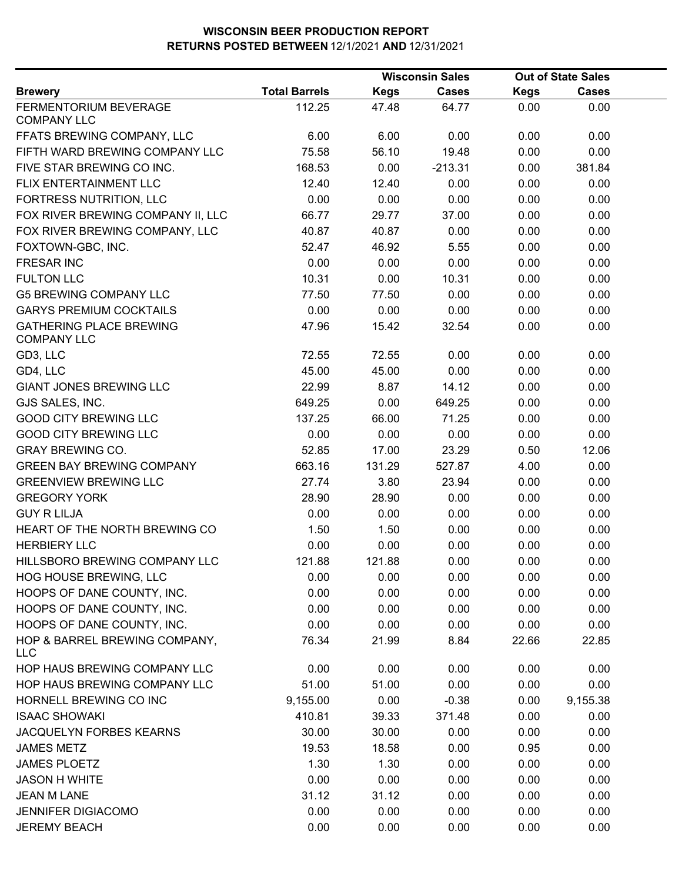|                                                      |                      |             | <b>Wisconsin Sales</b> |       | <b>Out of State Sales</b> |  |
|------------------------------------------------------|----------------------|-------------|------------------------|-------|---------------------------|--|
| <b>Brewery</b>                                       | <b>Total Barrels</b> | <b>Kegs</b> | <b>Cases</b>           | Kegs  | Cases                     |  |
| FERMENTORIUM BEVERAGE<br><b>COMPANY LLC</b>          | 112.25               | 47.48       | 64.77                  | 0.00  | 0.00                      |  |
| FFATS BREWING COMPANY, LLC                           | 6.00                 | 6.00        | 0.00                   | 0.00  | 0.00                      |  |
| FIFTH WARD BREWING COMPANY LLC                       | 75.58                | 56.10       | 19.48                  | 0.00  | 0.00                      |  |
| FIVE STAR BREWING CO INC.                            | 168.53               | 0.00        | $-213.31$              | 0.00  | 381.84                    |  |
| FLIX ENTERTAINMENT LLC                               | 12.40                | 12.40       | 0.00                   | 0.00  | 0.00                      |  |
| FORTRESS NUTRITION, LLC                              | 0.00                 | 0.00        | 0.00                   | 0.00  | 0.00                      |  |
| FOX RIVER BREWING COMPANY II, LLC                    | 66.77                | 29.77       | 37.00                  | 0.00  | 0.00                      |  |
| FOX RIVER BREWING COMPANY, LLC                       | 40.87                | 40.87       | 0.00                   | 0.00  | 0.00                      |  |
| FOXTOWN-GBC, INC.                                    | 52.47                | 46.92       | 5.55                   | 0.00  | 0.00                      |  |
| <b>FRESAR INC</b>                                    | 0.00                 | 0.00        | 0.00                   | 0.00  | 0.00                      |  |
| <b>FULTON LLC</b>                                    | 10.31                | 0.00        | 10.31                  | 0.00  | 0.00                      |  |
| <b>G5 BREWING COMPANY LLC</b>                        | 77.50                | 77.50       | 0.00                   | 0.00  | 0.00                      |  |
| <b>GARYS PREMIUM COCKTAILS</b>                       | 0.00                 | 0.00        | 0.00                   | 0.00  | 0.00                      |  |
| <b>GATHERING PLACE BREWING</b><br><b>COMPANY LLC</b> | 47.96                | 15.42       | 32.54                  | 0.00  | 0.00                      |  |
| GD3, LLC                                             | 72.55                | 72.55       | 0.00                   | 0.00  | 0.00                      |  |
| GD4, LLC                                             | 45.00                | 45.00       | 0.00                   | 0.00  | 0.00                      |  |
| <b>GIANT JONES BREWING LLC</b>                       | 22.99                | 8.87        | 14.12                  | 0.00  | 0.00                      |  |
| GJS SALES, INC.                                      | 649.25               | 0.00        | 649.25                 | 0.00  | 0.00                      |  |
| <b>GOOD CITY BREWING LLC</b>                         | 137.25               | 66.00       | 71.25                  | 0.00  | 0.00                      |  |
| <b>GOOD CITY BREWING LLC</b>                         | 0.00                 | 0.00        | 0.00                   | 0.00  | 0.00                      |  |
| <b>GRAY BREWING CO.</b>                              | 52.85                | 17.00       | 23.29                  | 0.50  | 12.06                     |  |
| <b>GREEN BAY BREWING COMPANY</b>                     | 663.16               | 131.29      | 527.87                 | 4.00  | 0.00                      |  |
| <b>GREENVIEW BREWING LLC</b>                         | 27.74                | 3.80        | 23.94                  | 0.00  | 0.00                      |  |
| <b>GREGORY YORK</b>                                  | 28.90                | 28.90       | 0.00                   | 0.00  | 0.00                      |  |
| <b>GUY R LILJA</b>                                   | 0.00                 | 0.00        | 0.00                   | 0.00  | 0.00                      |  |
| HEART OF THE NORTH BREWING CO                        | 1.50                 | 1.50        | 0.00                   | 0.00  | 0.00                      |  |
| <b>HERBIERY LLC</b>                                  | 0.00                 | 0.00        | 0.00                   | 0.00  | 0.00                      |  |
| HILLSBORO BREWING COMPANY LLC                        | 121.88               | 121.88      | 0.00                   | 0.00  | 0.00                      |  |
| HOG HOUSE BREWING, LLC                               | 0.00                 | 0.00        | 0.00                   | 0.00  | 0.00                      |  |
| HOOPS OF DANE COUNTY, INC.                           | 0.00                 | 0.00        | 0.00                   | 0.00  | 0.00                      |  |
| HOOPS OF DANE COUNTY, INC.                           | 0.00                 | 0.00        | 0.00                   | 0.00  | 0.00                      |  |
| HOOPS OF DANE COUNTY, INC.                           | 0.00                 | 0.00        | 0.00                   | 0.00  | 0.00                      |  |
| HOP & BARREL BREWING COMPANY,<br><b>LLC</b>          | 76.34                | 21.99       | 8.84                   | 22.66 | 22.85                     |  |
| HOP HAUS BREWING COMPANY LLC                         | 0.00                 | 0.00        | 0.00                   | 0.00  | 0.00                      |  |
| HOP HAUS BREWING COMPANY LLC                         | 51.00                | 51.00       | 0.00                   | 0.00  | 0.00                      |  |
| HORNELL BREWING CO INC                               | 9,155.00             | 0.00        | $-0.38$                | 0.00  | 9,155.38                  |  |
| <b>ISAAC SHOWAKI</b>                                 | 410.81               | 39.33       | 371.48                 | 0.00  | 0.00                      |  |
| JACQUELYN FORBES KEARNS                              | 30.00                | 30.00       | 0.00                   | 0.00  | 0.00                      |  |
| <b>JAMES METZ</b>                                    | 19.53                | 18.58       | 0.00                   | 0.95  | 0.00                      |  |
| <b>JAMES PLOETZ</b>                                  | 1.30                 | 1.30        | 0.00                   | 0.00  | 0.00                      |  |
| <b>JASON H WHITE</b>                                 | 0.00                 | 0.00        | 0.00                   | 0.00  | 0.00                      |  |
| <b>JEAN M LANE</b>                                   | 31.12                | 31.12       | 0.00                   | 0.00  | 0.00                      |  |
| <b>JENNIFER DIGIACOMO</b>                            | 0.00                 | 0.00        | 0.00                   | 0.00  | 0.00                      |  |
| <b>JEREMY BEACH</b>                                  | 0.00                 | 0.00        | 0.00                   | 0.00  | 0.00                      |  |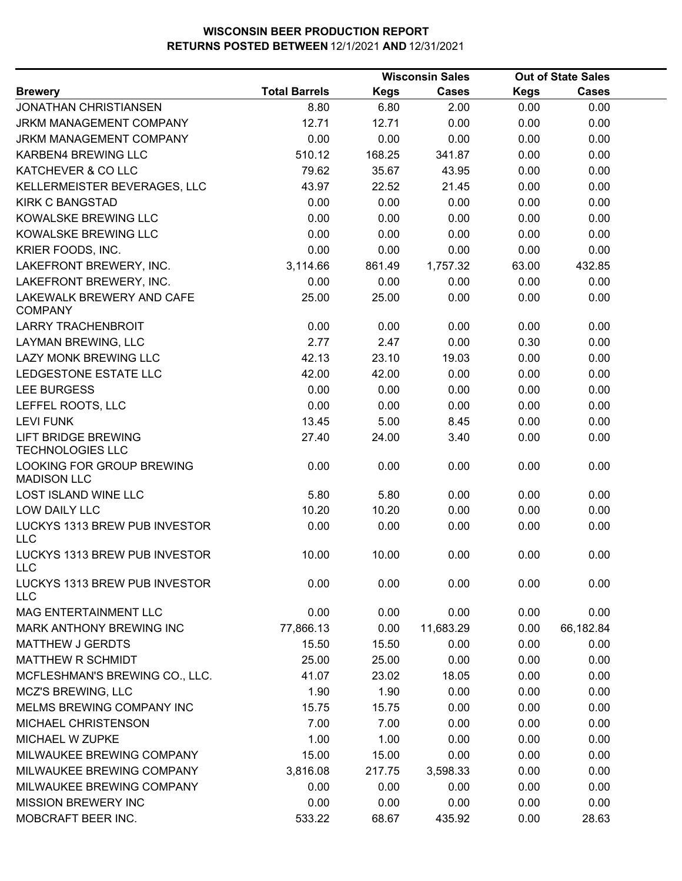|                                                       |                      |             | <b>Wisconsin Sales</b> |             | <b>Out of State Sales</b> |
|-------------------------------------------------------|----------------------|-------------|------------------------|-------------|---------------------------|
| <b>Brewery</b>                                        | <b>Total Barrels</b> | <b>Kegs</b> | <b>Cases</b>           | <b>Kegs</b> | <b>Cases</b>              |
| <b>JONATHAN CHRISTIANSEN</b>                          | 8.80                 | 6.80        | 2.00                   | 0.00        | 0.00                      |
| JRKM MANAGEMENT COMPANY                               | 12.71                | 12.71       | 0.00                   | 0.00        | 0.00                      |
| JRKM MANAGEMENT COMPANY                               | 0.00                 | 0.00        | 0.00                   | 0.00        | 0.00                      |
| KARBEN4 BREWING LLC                                   | 510.12               | 168.25      | 341.87                 | 0.00        | 0.00                      |
| KATCHEVER & CO LLC                                    | 79.62                | 35.67       | 43.95                  | 0.00        | 0.00                      |
| KELLERMEISTER BEVERAGES, LLC                          | 43.97                | 22.52       | 21.45                  | 0.00        | 0.00                      |
| <b>KIRK C BANGSTAD</b>                                | 0.00                 | 0.00        | 0.00                   | 0.00        | 0.00                      |
| KOWALSKE BREWING LLC                                  | 0.00                 | 0.00        | 0.00                   | 0.00        | 0.00                      |
| KOWALSKE BREWING LLC                                  | 0.00                 | 0.00        | 0.00                   | 0.00        | 0.00                      |
| KRIER FOODS, INC.                                     | 0.00                 | 0.00        | 0.00                   | 0.00        | 0.00                      |
| LAKEFRONT BREWERY, INC.                               | 3,114.66             | 861.49      | 1,757.32               | 63.00       | 432.85                    |
| LAKEFRONT BREWERY, INC.                               | 0.00                 | 0.00        | 0.00                   | 0.00        | 0.00                      |
| LAKEWALK BREWERY AND CAFE<br><b>COMPANY</b>           | 25.00                | 25.00       | 0.00                   | 0.00        | 0.00                      |
| <b>LARRY TRACHENBROIT</b>                             | 0.00                 | 0.00        | 0.00                   | 0.00        | 0.00                      |
| LAYMAN BREWING, LLC                                   | 2.77                 | 2.47        | 0.00                   | 0.30        | 0.00                      |
| <b>LAZY MONK BREWING LLC</b>                          | 42.13                | 23.10       | 19.03                  | 0.00        | 0.00                      |
| LEDGESTONE ESTATE LLC                                 | 42.00                | 42.00       | 0.00                   | 0.00        | 0.00                      |
| LEE BURGESS                                           | 0.00                 | 0.00        | 0.00                   | 0.00        | 0.00                      |
| LEFFEL ROOTS, LLC                                     | 0.00                 | 0.00        | 0.00                   | 0.00        | 0.00                      |
| <b>LEVI FUNK</b>                                      | 13.45                | 5.00        | 8.45                   | 0.00        | 0.00                      |
| <b>LIFT BRIDGE BREWING</b><br><b>TECHNOLOGIES LLC</b> | 27.40                | 24.00       | 3.40                   | 0.00        | 0.00                      |
| LOOKING FOR GROUP BREWING<br><b>MADISON LLC</b>       | 0.00                 | 0.00        | 0.00                   | 0.00        | 0.00                      |
| LOST ISLAND WINE LLC                                  | 5.80                 | 5.80        | 0.00                   | 0.00        | 0.00                      |
| LOW DAILY LLC                                         | 10.20                | 10.20       | 0.00                   | 0.00        | 0.00                      |
| LUCKYS 1313 BREW PUB INVESTOR<br><b>LLC</b>           | 0.00                 | 0.00        | 0.00                   | 0.00        | 0.00                      |
| LUCKYS 1313 BREW PUB INVESTOR<br><b>LLC</b>           | 10.00                | 10.00       | 0.00                   | 0.00        | 0.00                      |
| LUCKYS 1313 BREW PUB INVESTOR<br><b>LLC</b>           | 0.00                 | 0.00        | 0.00                   | 0.00        | 0.00                      |
| MAG ENTERTAINMENT LLC                                 | 0.00                 | 0.00        | 0.00                   | 0.00        | 0.00                      |
| <b>MARK ANTHONY BREWING INC</b>                       | 77,866.13            | 0.00        | 11,683.29              | 0.00        | 66,182.84                 |
| <b>MATTHEW J GERDTS</b>                               | 15.50                | 15.50       | 0.00                   | 0.00        | 0.00                      |
| MATTHEW R SCHMIDT                                     | 25.00                | 25.00       | 0.00                   | 0.00        | 0.00                      |
| MCFLESHMAN'S BREWING CO., LLC.                        | 41.07                | 23.02       | 18.05                  | 0.00        | 0.00                      |
| <b>MCZ'S BREWING, LLC</b>                             | 1.90                 | 1.90        | 0.00                   | 0.00        | 0.00                      |
| MELMS BREWING COMPANY INC                             | 15.75                | 15.75       | 0.00                   | 0.00        | 0.00                      |
| MICHAEL CHRISTENSON                                   | 7.00                 | 7.00        | 0.00                   | 0.00        | 0.00                      |
| MICHAEL W ZUPKE                                       | 1.00                 | 1.00        | 0.00                   | 0.00        | 0.00                      |
| MILWAUKEE BREWING COMPANY                             | 15.00                | 15.00       | 0.00                   | 0.00        | 0.00                      |
| MILWAUKEE BREWING COMPANY                             | 3,816.08             | 217.75      | 3,598.33               | 0.00        | 0.00                      |
| MILWAUKEE BREWING COMPANY                             | 0.00                 | 0.00        | 0.00                   | 0.00        | 0.00                      |
| <b>MISSION BREWERY INC</b>                            | 0.00                 | 0.00        | 0.00                   | 0.00        | 0.00                      |
| MOBCRAFT BEER INC.                                    | 533.22               | 68.67       | 435.92                 | 0.00        | 28.63                     |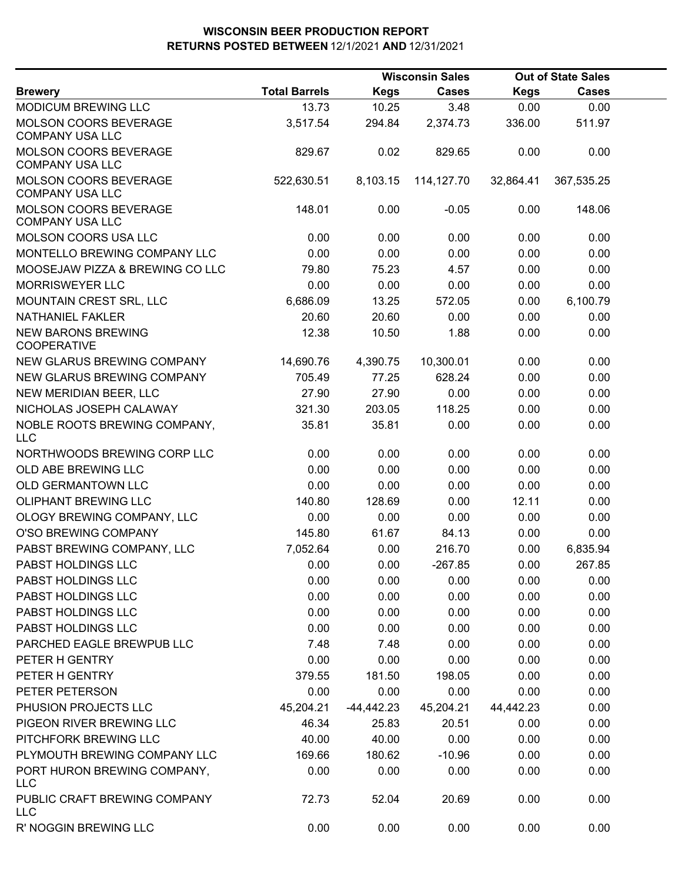|                                                        |                      |             | <b>Wisconsin Sales</b> |             | <b>Out of State Sales</b> |  |
|--------------------------------------------------------|----------------------|-------------|------------------------|-------------|---------------------------|--|
| <b>Brewery</b>                                         | <b>Total Barrels</b> | <b>Kegs</b> | <b>Cases</b>           | <b>Kegs</b> | <b>Cases</b>              |  |
| MODICUM BREWING LLC                                    | 13.73                | 10.25       | 3.48                   | 0.00        | 0.00                      |  |
| MOLSON COORS BEVERAGE<br><b>COMPANY USA LLC</b>        | 3,517.54             | 294.84      | 2,374.73               | 336.00      | 511.97                    |  |
| <b>MOLSON COORS BEVERAGE</b><br><b>COMPANY USA LLC</b> | 829.67               | 0.02        | 829.65                 | 0.00        | 0.00                      |  |
| MOLSON COORS BEVERAGE<br><b>COMPANY USA LLC</b>        | 522,630.51           | 8,103.15    | 114,127.70             | 32,864.41   | 367,535.25                |  |
| MOLSON COORS BEVERAGE<br><b>COMPANY USA LLC</b>        | 148.01               | 0.00        | $-0.05$                | 0.00        | 148.06                    |  |
| MOLSON COORS USA LLC                                   | 0.00                 | 0.00        | 0.00                   | 0.00        | 0.00                      |  |
| MONTELLO BREWING COMPANY LLC                           | 0.00                 | 0.00        | 0.00                   | 0.00        | 0.00                      |  |
| MOOSEJAW PIZZA & BREWING CO LLC                        | 79.80                | 75.23       | 4.57                   | 0.00        | 0.00                      |  |
| <b>MORRISWEYER LLC</b>                                 | 0.00                 | 0.00        | 0.00                   | 0.00        | 0.00                      |  |
| MOUNTAIN CREST SRL, LLC                                | 6,686.09             | 13.25       | 572.05                 | 0.00        | 6,100.79                  |  |
| NATHANIEL FAKLER                                       | 20.60                | 20.60       | 0.00                   | 0.00        | 0.00                      |  |
| <b>NEW BARONS BREWING</b><br><b>COOPERATIVE</b>        | 12.38                | 10.50       | 1.88                   | 0.00        | 0.00                      |  |
| NEW GLARUS BREWING COMPANY                             | 14,690.76            | 4,390.75    | 10,300.01              | 0.00        | 0.00                      |  |
| NEW GLARUS BREWING COMPANY                             | 705.49               | 77.25       | 628.24                 | 0.00        | 0.00                      |  |
| NEW MERIDIAN BEER, LLC                                 | 27.90                | 27.90       | 0.00                   | 0.00        | 0.00                      |  |
| NICHOLAS JOSEPH CALAWAY                                | 321.30               | 203.05      | 118.25                 | 0.00        | 0.00                      |  |
| NOBLE ROOTS BREWING COMPANY,<br><b>LLC</b>             | 35.81                | 35.81       | 0.00                   | 0.00        | 0.00                      |  |
| NORTHWOODS BREWING CORP LLC                            | 0.00                 | 0.00        | 0.00                   | 0.00        | 0.00                      |  |
| OLD ABE BREWING LLC                                    | 0.00                 | 0.00        | 0.00                   | 0.00        | 0.00                      |  |
| OLD GERMANTOWN LLC                                     | 0.00                 | 0.00        | 0.00                   | 0.00        | 0.00                      |  |
| <b>OLIPHANT BREWING LLC</b>                            | 140.80               | 128.69      | 0.00                   | 12.11       | 0.00                      |  |
| OLOGY BREWING COMPANY, LLC                             | 0.00                 | 0.00        | 0.00                   | 0.00        | 0.00                      |  |
| O'SO BREWING COMPANY                                   | 145.80               | 61.67       | 84.13                  | 0.00        | 0.00                      |  |
| PABST BREWING COMPANY, LLC                             | 7,052.64             | 0.00        | 216.70                 | 0.00        | 6,835.94                  |  |
| PABST HOLDINGS LLC                                     | 0.00                 | 0.00        | $-267.85$              | 0.00        | 267.85                    |  |
| PABST HOLDINGS LLC                                     | 0.00                 | 0.00        | 0.00                   | 0.00        | 0.00                      |  |
| PABST HOLDINGS LLC                                     | 0.00                 | 0.00        | 0.00                   | 0.00        | 0.00                      |  |
| PABST HOLDINGS LLC                                     | 0.00                 | 0.00        | 0.00                   | 0.00        | 0.00                      |  |
| PABST HOLDINGS LLC                                     | 0.00                 | 0.00        | 0.00                   | 0.00        | 0.00                      |  |
| PARCHED EAGLE BREWPUB LLC                              | 7.48                 | 7.48        | 0.00                   | 0.00        | 0.00                      |  |
| PETER H GENTRY                                         | 0.00                 | 0.00        | 0.00                   | 0.00        | 0.00                      |  |
| PETER H GENTRY                                         | 379.55               | 181.50      | 198.05                 | 0.00        | 0.00                      |  |
| PETER PETERSON                                         | 0.00                 | 0.00        | 0.00                   | 0.00        | 0.00                      |  |
| PHUSION PROJECTS LLC                                   | 45,204.21            | -44,442.23  | 45,204.21              | 44,442.23   | 0.00                      |  |
| PIGEON RIVER BREWING LLC                               | 46.34                | 25.83       | 20.51                  | 0.00        | 0.00                      |  |
| PITCHFORK BREWING LLC                                  | 40.00                | 40.00       | 0.00                   | 0.00        | 0.00                      |  |
| PLYMOUTH BREWING COMPANY LLC                           | 169.66               | 180.62      | $-10.96$               | 0.00        | 0.00                      |  |
| PORT HURON BREWING COMPANY,<br><b>LLC</b>              | 0.00                 | 0.00        | 0.00                   | 0.00        | 0.00                      |  |
| PUBLIC CRAFT BREWING COMPANY<br><b>LLC</b>             | 72.73                | 52.04       | 20.69                  | 0.00        | 0.00                      |  |
| R' NOGGIN BREWING LLC                                  | 0.00                 | 0.00        | 0.00                   | 0.00        | 0.00                      |  |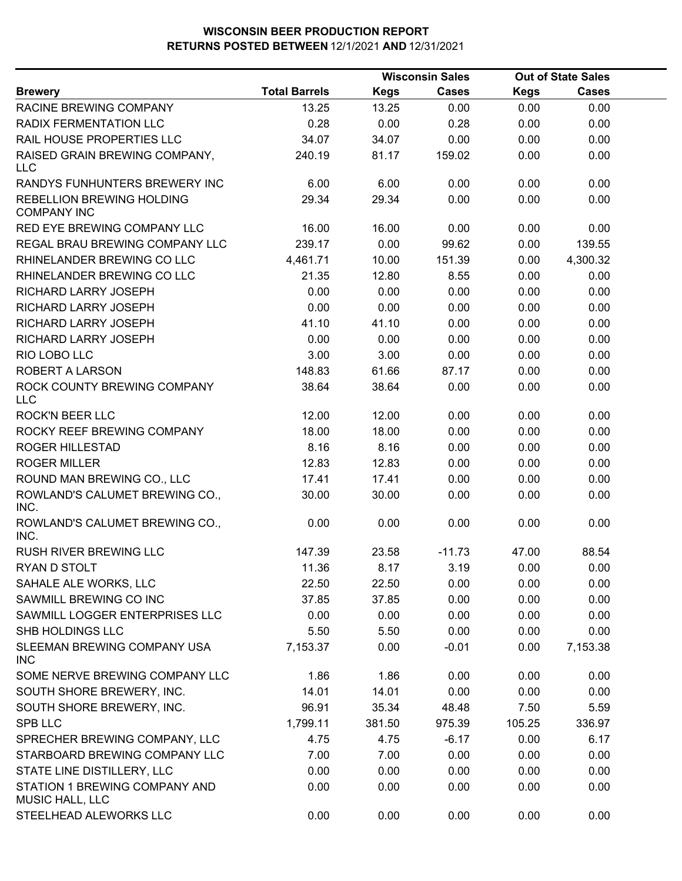|                                                  |                      |             | <b>Wisconsin Sales</b><br><b>Out of State Sales</b> |             |              |  |
|--------------------------------------------------|----------------------|-------------|-----------------------------------------------------|-------------|--------------|--|
| <b>Brewery</b>                                   | <b>Total Barrels</b> | <b>Kegs</b> | <b>Cases</b>                                        | <b>Kegs</b> | <b>Cases</b> |  |
| RACINE BREWING COMPANY                           | 13.25                | 13.25       | 0.00                                                | 0.00        | 0.00         |  |
| RADIX FERMENTATION LLC                           | 0.28                 | 0.00        | 0.28                                                | 0.00        | 0.00         |  |
| RAIL HOUSE PROPERTIES LLC                        | 34.07                | 34.07       | 0.00                                                | 0.00        | 0.00         |  |
| RAISED GRAIN BREWING COMPANY,<br><b>LLC</b>      | 240.19               | 81.17       | 159.02                                              | 0.00        | 0.00         |  |
| RANDYS FUNHUNTERS BREWERY INC                    | 6.00                 | 6.00        | 0.00                                                | 0.00        | 0.00         |  |
| REBELLION BREWING HOLDING<br><b>COMPANY INC</b>  | 29.34                | 29.34       | 0.00                                                | 0.00        | 0.00         |  |
| RED EYE BREWING COMPANY LLC                      | 16.00                | 16.00       | 0.00                                                | 0.00        | 0.00         |  |
| REGAL BRAU BREWING COMPANY LLC                   | 239.17               | 0.00        | 99.62                                               | 0.00        | 139.55       |  |
| RHINELANDER BREWING CO LLC                       | 4,461.71             | 10.00       | 151.39                                              | 0.00        | 4,300.32     |  |
| RHINELANDER BREWING CO LLC                       | 21.35                | 12.80       | 8.55                                                | 0.00        | 0.00         |  |
| RICHARD LARRY JOSEPH                             | 0.00                 | 0.00        | 0.00                                                | 0.00        | 0.00         |  |
| RICHARD LARRY JOSEPH                             | 0.00                 | 0.00        | 0.00                                                | 0.00        | 0.00         |  |
| RICHARD LARRY JOSEPH                             | 41.10                | 41.10       | 0.00                                                | 0.00        | 0.00         |  |
| RICHARD LARRY JOSEPH                             | 0.00                 | 0.00        | 0.00                                                | 0.00        | 0.00         |  |
| RIO LOBO LLC                                     | 3.00                 | 3.00        | 0.00                                                | 0.00        | 0.00         |  |
| <b>ROBERT A LARSON</b>                           | 148.83               | 61.66       | 87.17                                               | 0.00        | 0.00         |  |
| ROCK COUNTY BREWING COMPANY<br><b>LLC</b>        | 38.64                | 38.64       | 0.00                                                | 0.00        | 0.00         |  |
| <b>ROCK'N BEER LLC</b>                           | 12.00                | 12.00       | 0.00                                                | 0.00        | 0.00         |  |
| ROCKY REEF BREWING COMPANY                       | 18.00                | 18.00       | 0.00                                                | 0.00        | 0.00         |  |
| <b>ROGER HILLESTAD</b>                           | 8.16                 | 8.16        | 0.00                                                | 0.00        | 0.00         |  |
| <b>ROGER MILLER</b>                              | 12.83                | 12.83       | 0.00                                                | 0.00        | 0.00         |  |
| ROUND MAN BREWING CO., LLC                       | 17.41                | 17.41       | 0.00                                                | 0.00        | 0.00         |  |
| ROWLAND'S CALUMET BREWING CO.,<br>INC.           | 30.00                | 30.00       | 0.00                                                | 0.00        | 0.00         |  |
| ROWLAND'S CALUMET BREWING CO.,<br>INC.           | 0.00                 | 0.00        | 0.00                                                | 0.00        | 0.00         |  |
| <b>RUSH RIVER BREWING LLC</b>                    | 147.39               | 23.58       | $-11.73$                                            | 47.00       | 88.54        |  |
| RYAN D STOLT                                     | 11.36                | 8.17        | 3.19                                                | 0.00        | 0.00         |  |
| SAHALE ALE WORKS, LLC                            | 22.50                | 22.50       | 0.00                                                | 0.00        | 0.00         |  |
| SAWMILL BREWING CO INC                           | 37.85                | 37.85       | 0.00                                                | 0.00        | 0.00         |  |
| SAWMILL LOGGER ENTERPRISES LLC                   | 0.00                 | 0.00        | 0.00                                                | 0.00        | 0.00         |  |
| SHB HOLDINGS LLC                                 | 5.50                 | 5.50        | 0.00                                                | 0.00        | 0.00         |  |
| SLEEMAN BREWING COMPANY USA<br><b>INC</b>        | 7,153.37             | 0.00        | $-0.01$                                             | 0.00        | 7,153.38     |  |
| SOME NERVE BREWING COMPANY LLC                   | 1.86                 | 1.86        | 0.00                                                | 0.00        | 0.00         |  |
| SOUTH SHORE BREWERY, INC.                        | 14.01                | 14.01       | 0.00                                                | 0.00        | 0.00         |  |
| SOUTH SHORE BREWERY, INC.                        | 96.91                | 35.34       | 48.48                                               | 7.50        | 5.59         |  |
| SPB LLC                                          | 1,799.11             | 381.50      | 975.39                                              | 105.25      | 336.97       |  |
| SPRECHER BREWING COMPANY, LLC                    | 4.75                 | 4.75        | $-6.17$                                             | 0.00        | 6.17         |  |
| STARBOARD BREWING COMPANY LLC                    | 7.00                 | 7.00        | 0.00                                                | 0.00        | 0.00         |  |
| STATE LINE DISTILLERY, LLC                       | 0.00                 | 0.00        | 0.00                                                | 0.00        | 0.00         |  |
| STATION 1 BREWING COMPANY AND<br>MUSIC HALL, LLC | 0.00                 | 0.00        | 0.00                                                | 0.00        | 0.00         |  |
| STEELHEAD ALEWORKS LLC                           | 0.00                 | 0.00        | 0.00                                                | 0.00        | 0.00         |  |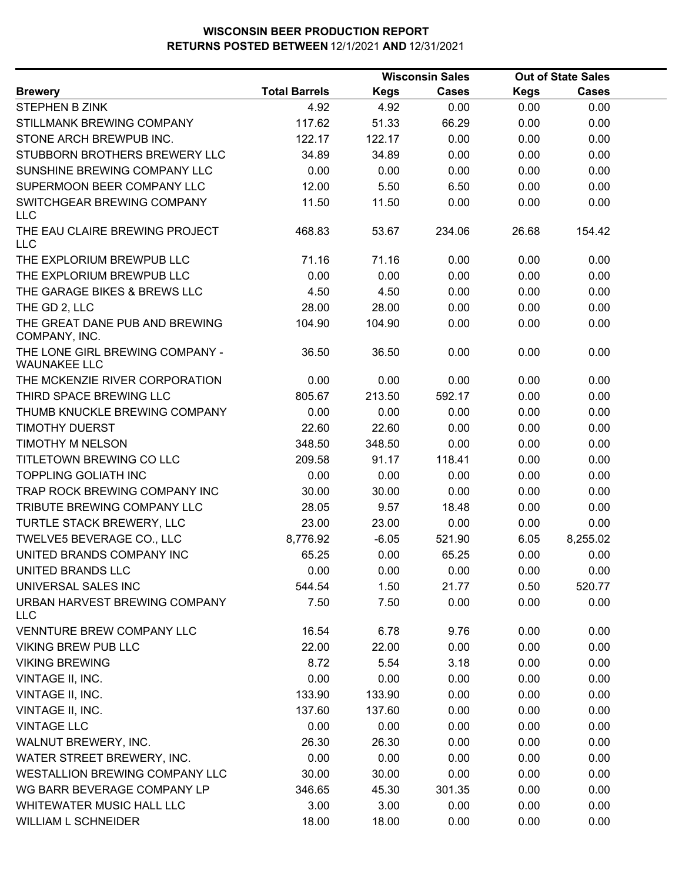|                                                        |                      |             | <b>Wisconsin Sales</b> |             | <b>Out of State Sales</b> |  |
|--------------------------------------------------------|----------------------|-------------|------------------------|-------------|---------------------------|--|
| <b>Brewery</b>                                         | <b>Total Barrels</b> | <b>Kegs</b> | <b>Cases</b>           | <b>Kegs</b> | <b>Cases</b>              |  |
| <b>STEPHEN B ZINK</b>                                  | 4.92                 | 4.92        | 0.00                   | 0.00        | 0.00                      |  |
| STILLMANK BREWING COMPANY                              | 117.62               | 51.33       | 66.29                  | 0.00        | 0.00                      |  |
| STONE ARCH BREWPUB INC.                                | 122.17               | 122.17      | 0.00                   | 0.00        | 0.00                      |  |
| STUBBORN BROTHERS BREWERY LLC                          | 34.89                | 34.89       | 0.00                   | 0.00        | 0.00                      |  |
| SUNSHINE BREWING COMPANY LLC                           | 0.00                 | 0.00        | 0.00                   | 0.00        | 0.00                      |  |
| SUPERMOON BEER COMPANY LLC                             | 12.00                | 5.50        | 6.50                   | 0.00        | 0.00                      |  |
| SWITCHGEAR BREWING COMPANY<br><b>LLC</b>               | 11.50                | 11.50       | 0.00                   | 0.00        | 0.00                      |  |
| THE EAU CLAIRE BREWING PROJECT<br>LLC                  | 468.83               | 53.67       | 234.06                 | 26.68       | 154.42                    |  |
| THE EXPLORIUM BREWPUB LLC                              | 71.16                | 71.16       | 0.00                   | 0.00        | 0.00                      |  |
| THE EXPLORIUM BREWPUB LLC                              | 0.00                 | 0.00        | 0.00                   | 0.00        | 0.00                      |  |
| THE GARAGE BIKES & BREWS LLC                           | 4.50                 | 4.50        | 0.00                   | 0.00        | 0.00                      |  |
| THE GD 2, LLC                                          | 28.00                | 28.00       | 0.00                   | 0.00        | 0.00                      |  |
| THE GREAT DANE PUB AND BREWING<br>COMPANY, INC.        | 104.90               | 104.90      | 0.00                   | 0.00        | 0.00                      |  |
| THE LONE GIRL BREWING COMPANY -<br><b>WAUNAKEE LLC</b> | 36.50                | 36.50       | 0.00                   | 0.00        | 0.00                      |  |
| THE MCKENZIE RIVER CORPORATION                         | 0.00                 | 0.00        | 0.00                   | 0.00        | 0.00                      |  |
| THIRD SPACE BREWING LLC                                | 805.67               | 213.50      | 592.17                 | 0.00        | 0.00                      |  |
| THUMB KNUCKLE BREWING COMPANY                          | 0.00                 | 0.00        | 0.00                   | 0.00        | 0.00                      |  |
| <b>TIMOTHY DUERST</b>                                  | 22.60                | 22.60       | 0.00                   | 0.00        | 0.00                      |  |
| <b>TIMOTHY M NELSON</b>                                | 348.50               | 348.50      | 0.00                   | 0.00        | 0.00                      |  |
| TITLETOWN BREWING CO LLC                               | 209.58               | 91.17       | 118.41                 | 0.00        | 0.00                      |  |
| <b>TOPPLING GOLIATH INC</b>                            | 0.00                 | 0.00        | 0.00                   | 0.00        | 0.00                      |  |
| TRAP ROCK BREWING COMPANY INC                          | 30.00                | 30.00       | 0.00                   | 0.00        | 0.00                      |  |
| TRIBUTE BREWING COMPANY LLC                            | 28.05                | 9.57        | 18.48                  | 0.00        | 0.00                      |  |
| TURTLE STACK BREWERY, LLC                              | 23.00                | 23.00       | 0.00                   | 0.00        | 0.00                      |  |
| TWELVE5 BEVERAGE CO., LLC                              | 8,776.92             | $-6.05$     | 521.90                 | 6.05        | 8,255.02                  |  |
| UNITED BRANDS COMPANY INC                              | 65.25                | 0.00        | 65.25                  | 0.00        | 0.00                      |  |
| UNITED BRANDS LLC                                      | 0.00                 | 0.00        | 0.00                   | 0.00        | 0.00                      |  |
| UNIVERSAL SALES INC                                    | 544.54               | 1.50        | 21.77                  | 0.50        | 520.77                    |  |
| URBAN HARVEST BREWING COMPANY<br><b>LLC</b>            | 7.50                 | 7.50        | 0.00                   | 0.00        | 0.00                      |  |
| VENNTURE BREW COMPANY LLC                              | 16.54                | 6.78        | 9.76                   | 0.00        | 0.00                      |  |
| <b>VIKING BREW PUB LLC</b>                             | 22.00                | 22.00       | 0.00                   | 0.00        | 0.00                      |  |
| <b>VIKING BREWING</b>                                  | 8.72                 | 5.54        | 3.18                   | 0.00        | 0.00                      |  |
| VINTAGE II, INC.                                       | 0.00                 | 0.00        | 0.00                   | 0.00        | 0.00                      |  |
| VINTAGE II, INC.                                       | 133.90               | 133.90      | 0.00                   | 0.00        | 0.00                      |  |
| VINTAGE II, INC.                                       | 137.60               | 137.60      | 0.00                   | 0.00        | 0.00                      |  |
| <b>VINTAGE LLC</b>                                     | 0.00                 | 0.00        | 0.00                   | 0.00        | 0.00                      |  |
| WALNUT BREWERY, INC.                                   | 26.30                | 26.30       | 0.00                   | 0.00        | 0.00                      |  |
| WATER STREET BREWERY, INC.                             | 0.00                 | 0.00        | 0.00                   | 0.00        | 0.00                      |  |
| WESTALLION BREWING COMPANY LLC                         | 30.00                | 30.00       | 0.00                   | 0.00        | 0.00                      |  |
| WG BARR BEVERAGE COMPANY LP                            | 346.65               | 45.30       | 301.35                 | 0.00        | 0.00                      |  |
| WHITEWATER MUSIC HALL LLC                              | 3.00                 | 3.00        | 0.00                   | 0.00        | 0.00                      |  |
| <b>WILLIAM L SCHNEIDER</b>                             | 18.00                | 18.00       | 0.00                   | 0.00        | 0.00                      |  |